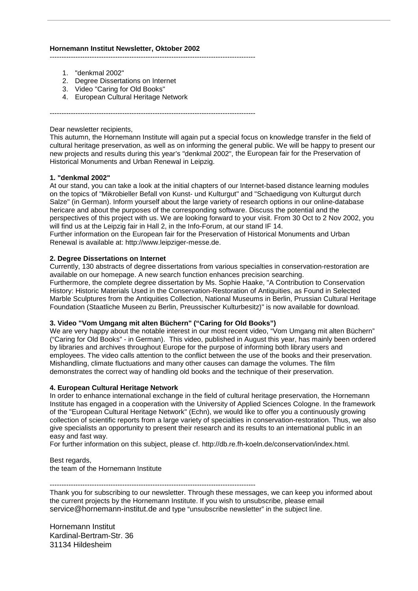# **Hornemann Institut Newsletter, Oktober 2002**

----------------------------------------------------------------------------------------

- 1. "denkmal 2002"
- 2. Degree Dissertations on Internet
- 3. Video "Caring for Old Books"
- 4. European Cultural Heritage Network

----------------------------------------------------------------------------------------

## Dear newsletter recipients,

This autumn, the Hornemann Institute will again put a special focus on knowledge transfer in the field of cultural heritage preservation, as well as on informing the general public. We will be happy to present our new projects and results during this year's "denkmal 2002", the European fair for the Preservation of Historical Monuments and Urban Renewal in Leipzig.

# **1. "denkmal 2002"**

At our stand, you can take a look at the initial chapters of our Internet-based distance learning modules on the topics of "Mikrobieller Befall von Kunst- und Kulturgut" and "Schaedigung von Kulturgut durch Salze" (in German). Inform yourself about the large variety of research options in our online-database hericare and about the purposes of the corresponding software. Discuss the potential and the perspectives of this project with us. We are looking forward to your visit. From 30 Oct to 2 Nov 2002, you will find us at the Leipzig fair in Hall 2, in the Info-Forum, at our stand IF 14. Further information on the European fair for the Preservation of Historical Monuments and Urban Renewal is available at: http://www.leipziger-messe.de.

# **2. Degree Dissertations on Internet**

Currently, 130 abstracts of degree dissertations from various specialties in conservation-restoration are available on our homepage. A new search function enhances precision searching.

Furthermore, the complete degree dissertation by Ms. Sophie Haake, "A Contribution to Conservation History: Historic Materials Used in the Conservation-Restoration of Antiquities, as Found in Selected Marble Sculptures from the Antiquities Collection, National Museums in Berlin, Prussian Cultural Heritage Foundation (Staatliche Museen zu Berlin, Preussischer Kulturbesitz)" is now available for download.

## **3. Video "Vom Umgang mit alten Büchern" ("Caring for Old Books")**

We are very happy about the notable interest in our most recent video, "Vom Umgang mit alten Büchern" ("Caring for Old Books" - in German). This video, published in August this year, has mainly been ordered by libraries and archives throughout Europe for the purpose of informing both library users and employees. The video calls attention to the conflict between the use of the books and their preservation. Mishandling, climate fluctuations and many other causes can damage the volumes. The film demonstrates the correct way of handling old books and the technique of their preservation.

## **4. European Cultural Heritage Network**

In order to enhance international exchange in the field of cultural heritage preservation, the Hornemann Institute has engaged in a cooperation with the University of Applied Sciences Cologne. In the framework of the "European Cultural Heritage Network" (Echn), we would like to offer you a continuously growing collection of scientific reports from a large variety of specialties in conservation-restoration. Thus, we also give specialists an opportunity to present their research and its results to an international public in an easy and fast way.

For further information on this subject, please cf. http://db.re.fh-koeln.de/conservation/index.html.

Best regards, the team of the Hornemann Institute

----------------------------------------------------------------------------------------

Thank you for subscribing to our newsletter. Through these messages, we can keep you informed about the current projects by the Hornemann Institute. If you wish to unsubscribe, please email service@hornemann-institut.de and type "unsubscribe newsletter" in the subject line.

Hornemann Institut Kardinal-Bertram-Str. 36 31134 Hildesheim